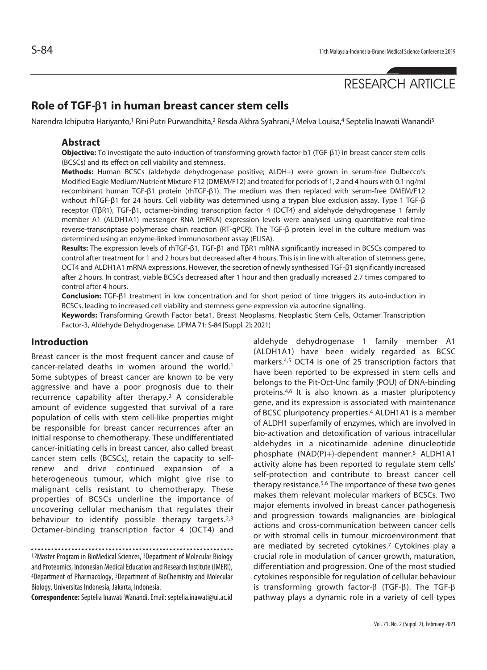# RESEARCH ARTICLE

## **Role of TGF-**β**1 in human breast cancer stem cells**

Narendra Ichiputra Hariyanto,<sup>1</sup> Rini Putri Purwandhita,<sup>2</sup> Resda Akhra Syahrani,<sup>3</sup> Melva Louisa,<sup>4</sup> Septelia Inawati Wanandi<sup>5</sup>

#### **Abstract**

**Objective:** To investigate the auto-induction of transforming growth factor-b1 (TGF-β1) in breast cancer stem cells (BCSCs) and its effect on cell viability and stemness.

**Methods:** Human BCSCs (aldehyde dehydrogenase positive; ALDH+) were grown in serum-free Dulbecco's Modified Eagle Medium/Nutrient Mixture F12 (DMEM/F12) and treated for periods of 1, 2 and 4 hours with 0.1 ng/ml recombinant human TGF-β1 protein (rhTGF-β1). The medium was then replaced with serum-free DMEM/F12 without rhTGF-β1 for 24 hours. Cell viability was determined using a trypan blue exclusion assay. Type 1 TGF-β receptor (TβR1), TGF-β1, octamer-binding transcription factor 4 (OCT4) and aldehyde dehydrogenase 1 family member A1 (ALDH1A1) messenger RNA (mRNA) expression levels were analysed using quantitative real-time reverse-transcriptase polymerase chain reaction (RT-qPCR). The TGF-β protein level in the culture medium was determined using an enzyme-linked immunosorbent assay (ELISA).

**Results:** The expression levels of rhTGF-β1, TGF-β1 and TβR1 mRNA significantly increased in BCSCs compared to control after treatment for 1 and 2 hours but decreased after 4 hours. This is in line with alteration of stemness gene, OCT4 and ALDH1A1 mRNA expressions. However, the secretion of newly synthesised TGF-β1 significantly increased after 2 hours. In contrast, viable BCSCs decreased after 1 hour and then gradually increased 2.7 times compared to control after 4 hours.

**Conclusion:** TGF-β1 treatment in low concentration and for short period of time triggers its auto-induction in BCSCs, leading to increased cell viability and stemness gene expression via autocrine signalling.

**Keywords:** Transforming Growth Factor beta1, Breast Neoplasms, Neoplastic Stem Cells, Octamer Transcription Factor-3, Aldehyde Dehydrogenase. (JPMA 71: S-84 [Suppl. 2]; 2021)

#### **Introduction**

Breast cancer is the most frequent cancer and cause of cancer-related deaths in women around the world.1 Some subtypes of breast cancer are known to be very aggressive and have a poor prognosis due to their recurrence capability after therapy.2 A considerable amount of evidence suggested that survival of a rare population of cells with stem cell-like properties might be responsible for breast cancer recurrences after an initial response to chemotherapy. These undifferentiated cancer-initiating cells in breast cancer, also called breast cancer stem cells (BCSCs), retain the capacity to selfrenew and drive continued expansion of a heterogeneous tumour, which might give rise to malignant cells resistant to chemotherapy. These properties of BCSCs underline the importance of uncovering cellular mechanism that regulates their behaviour to identify possible therapy targets.<sup>2,3</sup> Octamer-binding transcription factor 4 (OCT4) and

1,2Master Program in BioMedical Sciences, 3Department of Molecular Biology and Proteomics, Indonesian Medical Education and Research Institute (IMERI), 4Department of Pharmacology, 5Department of BioChemistry and Molecular Biology, Universitas Indonesia, Jakarta, Indonesia.

**Correspondence:** Septelia Inawati Wanandi. Email: septelia.inawati@ui.ac.id

aldehyde dehydrogenase 1 family member A1 (ALDH1A1) have been widely regarded as BCSC markers.4,5 OCT4 is one of 25 transcription factors that have been reported to be expressed in stem cells and belongs to the Pit-Oct-Unc family (POU) of DNA-binding proteins.4,6 It is also known as a master pluripotency gene, and its expression is associated with maintenance of BCSC pluripotency properties.4 ALDH1A1 is a member of ALDH1 superfamily of enzymes, which are involved in bio-activation and detoxification of various intracellular aldehydes in a nicotinamide adenine dinucleotide phosphate (NAD(P)+)-dependent manner.5 ALDH1A1 activity alone has been reported to regulate stem cells' self-protection and contribute to breast cancer cell therapy resistance.5,6 The importance of these two genes makes them relevant molecular markers of BCSCs. Two major elements involved in breast cancer pathogenesis and progression towards malignancies are biological actions and cross-communication between cancer cells or with stromal cells in tumour microenvironment that are mediated by secreted cytokines.7 Cytokines play a crucial role in modulation of cancer growth, maturation, differentiation and progression. One of the most studied cytokines responsible for regulation of cellular behaviour is transforming growth factor-β (TGF-β). The TGF-β pathway plays a dynamic role in a variety of cell types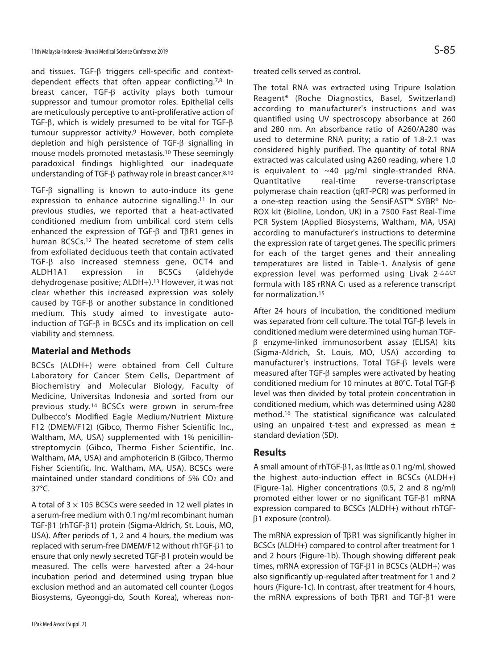and tissues. TGF-β triggers cell-specific and contextdependent effects that often appear conflicting.7,8 In breast cancer, TGF-β activity plays both tumour suppressor and tumour promotor roles. Epithelial cells are meticulously perceptive to anti-proliferative action of TGF- $\beta$ , which is widely presumed to be vital for TGF- $\beta$ tumour suppressor activity.<sup>9</sup> However, both complete depletion and high persistence of TGF-β signalling in mouse models promoted metastasis.10 These seemingly paradoxical findings highlighted our inadequate understanding of TGF-β pathway role in breast cancer.8,10

TGF-β signalling is known to auto-induce its gene expression to enhance autocrine signalling.11 In our previous studies, we reported that a heat-activated conditioned medium from umbilical cord stem cells enhanced the expression of TGF-β and TβR1 genes in human BCSCs.12 The heated secretome of stem cells from exfoliated deciduous teeth that contain activated TGF-β also increased stemness gene, OCT4 and ALDH1A1 expression in BCSCs (aldehyde dehydrogenase positive; ALDH+).13 However, it was not clear whether this increased expression was solely caused by TGF-β or another substance in conditioned medium. This study aimed to investigate autoinduction of TGF-β in BCSCs and its implication on cell viability and stemness.

### **Material and Methods**

BCSCs (ALDH+) were obtained from Cell Culture Laboratory for Cancer Stem Cells, Department of Biochemistry and Molecular Biology, Faculty of Medicine, Universitas Indonesia and sorted from our previous study.14 BCSCs were grown in serum-free Dulbecco's Modified Eagle Medium/Nutrient Mixture F12 (DMEM/F12) (Gibco, Thermo Fisher Scientific Inc., Waltham, MA, USA) supplemented with 1% penicillinstreptomycin (Gibco, Thermo Fisher Scientific, Inc. Waltham, MA, USA) and amphotericin B (Gibco, Thermo Fisher Scientific, Inc. Waltham, MA, USA). BCSCs were maintained under standard conditions of 5% CO2 and 37°C.

A total of  $3 \times 105$  BCSCs were seeded in 12 well plates in a serum-free medium with 0.1 ng/ml recombinant human TGF-β1 (rhTGF-β1) protein (Sigma-Aldrich, St. Louis, MO, USA). After periods of 1, 2 and 4 hours, the medium was replaced with serum-free DMEM/F12 without rhTGF-β1 to ensure that only newly secreted TGF-β1 protein would be measured. The cells were harvested after a 24-hour incubation period and determined using trypan blue exclusion method and an automated cell counter (Logos Biosystems, Gyeonggi-do, South Korea), whereas nontreated cells served as control.

The total RNA was extracted using Tripure Isolation Reagent® (Roche Diagnostics, Basel, Switzerland) according to manufacturer's instructions and was quantified using UV spectroscopy absorbance at 260 and 280 nm. An absorbance ratio of A260/A280 was used to determine RNA purity; a ratio of 1.8-2.1 was considered highly purified. The quantity of total RNA extracted was calculated using A260 reading, where 1.0 is equivalent to  $~10~\mu$ g/ml single-stranded RNA. Quantitative real-time reverse-transcriptase polymerase chain reaction (qRT-PCR) was performed in a one-step reaction using the SensiFAST™ SYBR® No-ROX kit (Bioline, London, UK) in a 7500 Fast Real-Time PCR System (Applied Biosystems, Waltham, MA, USA) according to manufacturer's instructions to determine the expression rate of target genes. The specific primers for each of the target genes and their annealing temperatures are listed in Table-1. Analysis of gene expression level was performed using Livak  $2$ - $\triangle\triangle$ CT formula with 18S rRNA CT used as a reference transcript for normalization.15

After 24 hours of incubation, the conditioned medium was separated from cell culture. The total TGF-β levels in conditioned medium were determined using human TGFβ enzyme-linked immunosorbent assay (ELISA) kits (Sigma-Aldrich, St. Louis, MO, USA) according to manufacturer's instructions. Total TGF-β levels were measured after TGF-β samples were activated by heating conditioned medium for 10 minutes at 80°C. Total TGF-β level was then divided by total protein concentration in conditioned medium, which was determined using A280 method.16 The statistical significance was calculated using an unpaired t-test and expressed as mean  $\pm$ standard deviation (SD).

### **Results**

A small amount of rhTGF-β1, as little as 0.1 ng/ml, showed the highest auto-induction effect in BCSCs (ALDH+) (Figure-1a). Higher concentrations (0.5, 2 and 8 ng/ml) promoted either lower or no significant TGF-β1 mRNA expression compared to BCSCs (ALDH+) without rhTGFβ1 exposure (control).

The mRNA expression of TβR1 was significantly higher in BCSCs (ALDH+) compared to control after treatment for 1 and 2 hours (Figure-1b). Though showing different peak times, mRNA expression of TGF-β1 in BCSCs (ALDH+) was also significantly up-regulated after treatment for 1 and 2 hours (Figure-1c). In contrast, after treatment for 4 hours, the mRNA expressions of both TβR1 and TGF-β1 were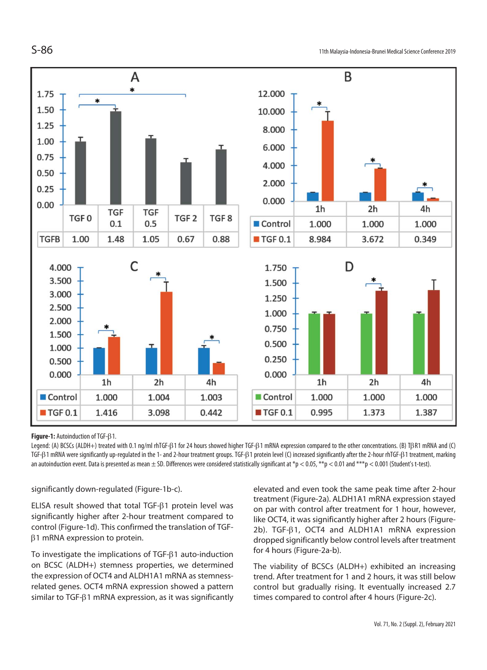

#### **Figure-1:** Autoinduction of TGF-β1.

Legend: (A) BCSCs (ALDH+) treated with 0.1 ng/ml rhTGF-β1 for 24 hours showed higher TGF-β1 mRNA expression compared to the other concentrations. (B) TβR1 mRNA and (C) TGF-β1 mRNA were significantly up-regulated in the 1- and 2-hour treatment groups. TGF-β1 protein level (C) increased significantly after the 2-hour rhTGF-β1 treatment, marking an autoinduction event. Data is presented as mean  $\pm$  SD. Differences were considered statistically significant at  $*_p$  < 0.05,  $*_p$  < 0.01 and  $^{***}p$  < 0.001 (Student's t-test).

significantly down-regulated (Figure-1b-c).

ELISA result showed that total TGF-β1 protein level was significantly higher after 2-hour treatment compared to control (Figure-1d). This confirmed the translation of TGFβ1 mRNA expression to protein.

To investigate the implications of TGF-β1 auto-induction on BCSC (ALDH+) stemness properties, we determined the expression of OCT4 and ALDH1A1 mRNA as stemnessrelated genes. OCT4 mRNA expression showed a pattern similar to TGF-β1 mRNA expression, as it was significantly elevated and even took the same peak time after 2-hour treatment (Figure-2a). ALDH1A1 mRNA expression stayed on par with control after treatment for 1 hour, however, like OCT4, it was significantly higher after 2 hours (Figure-2b). TGF-β1, OCT4 and ALDH1A1 mRNA expression dropped significantly below control levels after treatment for 4 hours (Figure-2a-b).

The viability of BCSCs (ALDH+) exhibited an increasing trend. After treatment for 1 and 2 hours, it was still below control but gradually rising. It eventually increased 2.7 times compared to control after 4 hours (Figure-2c).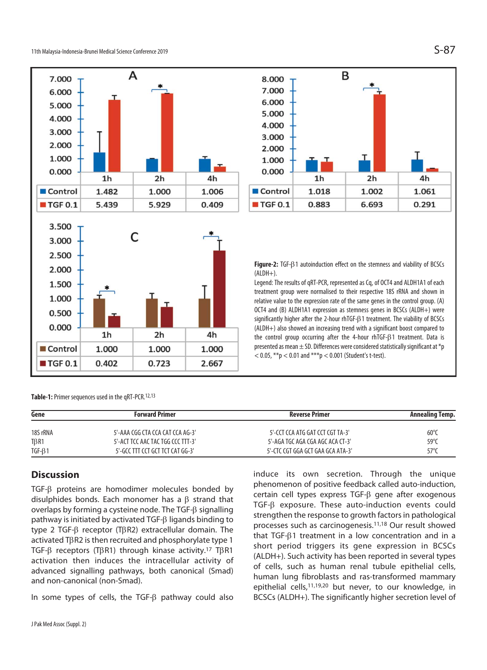

**Table-1:** Primer sequences used in the qRT-PCR.12,13

| Gene          | <b>Forward Primer</b>             | Reverse Primer                    | Annealing Temp. |
|---------------|-----------------------------------|-----------------------------------|-----------------|
| 18S rRNA      | 5'-AAA CGG CTA CCA CAT CCA AG-3'  | 5'-CCT CCA ATG GAT CCT CGT TA-3'  | $60^{\circ}$    |
| $T\beta R1$   | 5'-ACT TCC AAC TAC TGG CCC TTT-3' | 5'-AGA TGC AGA CGA AGC ACA CT-3'  | $59^{\circ}$    |
| $TGF - \beta$ | 5'-GCC TTT CCT GCT TCT CAT GG-3'  | 5'-CTC CGT GGA GCT GAA GCA ATA-3' | 57°C            |

### **Discussion**

TGF-β proteins are homodimer molecules bonded by disulphides bonds. Each monomer has a β strand that overlaps by forming a cysteine node. The TGF-β signalling pathway is initiated by activated TGF-β ligands binding to type 2 TGF-β receptor (TβR2) extracellular domain. The activated TβR2 is then recruited and phosphorylate type 1 TGF-β receptors (TβR1) through kinase activity.17 TβR1 activation then induces the intracellular activity of advanced signalling pathways, both canonical (Smad) and non-canonical (non-Smad).

In some types of cells, the TGF-β pathway could also



1h

8.000 7.000

6.000

5.000

4.000

3.000

2.000

1.000 0.000

significantly higher after the 2-hour rhTGF-β1 treatment. The viability of BCSCs (ALDH+) also showed an increasing trend with a significant boost compared to the control group occurring after the 4-hour rhTGF-β1 treatment. Data is presented as mean  $\pm$  SD. Differences were considered statistically significant at  $*_p$  $<$  0.05, \*\*p  $<$  0.01 and \*\*\*p  $<$  0.001 (Student's t-test).

B

 $2<sub>h</sub>$ 

induce its own secretion. Through the unique phenomenon of positive feedback called auto-induction, certain cell types express TGF-β gene after exogenous TGF-β exposure. These auto-induction events could strengthen the response to growth factors in pathological processes such as carcinogenesis.11,18 Our result showed that TGF-β1 treatment in a low concentration and in a short period triggers its gene expression in BCSCs (ALDH+). Such activity has been reported in several types of cells, such as human renal tubule epithelial cells, human lung fibroblasts and ras-transformed mammary epithelial cells,11,19,20 but never, to our knowledge, in BCSCs (ALDH+). The significantly higher secretion level of

4h

1.061

0.291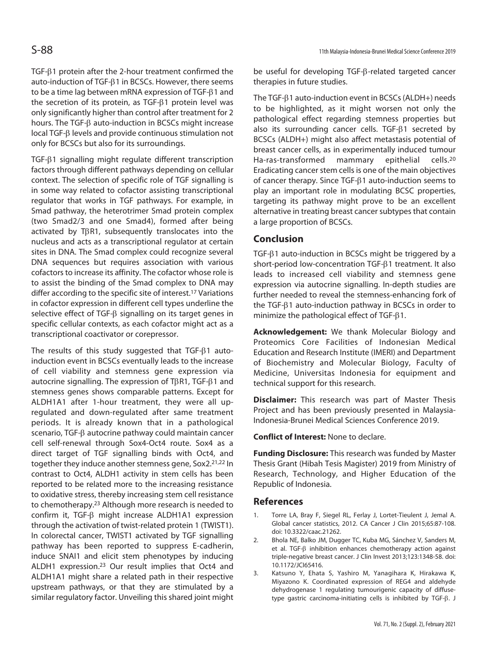TGF-β1 protein after the 2-hour treatment confirmed the auto-induction of TGF-β1 in BCSCs. However, there seems to be a time lag between mRNA expression of TGF-β1 and the secretion of its protein, as TGF-β1 protein level was only significantly higher than control after treatment for 2 hours. The TGF-β auto-induction in BCSCs might increase local TGF-β levels and provide continuous stimulation not only for BCSCs but also for its surroundings.

TGF-β1 signalling might regulate different transcription factors through different pathways depending on cellular context. The selection of specific role of TGF signalling is in some way related to cofactor assisting transcriptional regulator that works in TGF pathways. For example, in Smad pathway, the heterotrimer Smad protein complex (two Smad2/3 and one Smad4), formed after being activated by TβR1, subsequently translocates into the nucleus and acts as a transcriptional regulator at certain sites in DNA. The Smad complex could recognize several DNA sequences but requires association with various cofactors to increase its affinity. The cofactor whose role is to assist the binding of the Smad complex to DNA may differ according to the specific site of interest.17 Variations in cofactor expression in different cell types underline the selective effect of TGF-β signalling on its target genes in specific cellular contexts, as each cofactor might act as a transcriptional coactivator or corepressor.

The results of this study suggested that TGF-β1 autoinduction event in BCSCs eventually leads to the increase of cell viability and stemness gene expression via autocrine signalling. The expression of TβR1, TGF-β1 and stemness genes shows comparable patterns. Except for ALDH1A1 after 1-hour treatment, they were all upregulated and down-regulated after same treatment periods. It is already known that in a pathological scenario, TGF-β autocrine pathway could maintain cancer cell self-renewal through Sox4-Oct4 route. Sox4 as a direct target of TGF signalling binds with Oct4, and together they induce another stemness gene, Sox2.21,22 In contrast to Oct4, ALDH1 activity in stem cells has been reported to be related more to the increasing resistance to oxidative stress, thereby increasing stem cell resistance to chemotherapy.23 Although more research is needed to confirm it, TGF-β might increase ALDH1A1 expression through the activation of twist-related protein 1 (TWIST1). In colorectal cancer, TWIST1 activated by TGF signalling pathway has been reported to suppress E-cadherin, induce SNAI1 and elicit stem phenotypes by inducing ALDH1 expression.23 Our result implies that Oct4 and ALDH1A1 might share a related path in their respective upstream pathways, or that they are stimulated by a similar regulatory factor. Unveiling this shared joint might be useful for developing TGF-β-related targeted cancer therapies in future studies.

The TGF-β1 auto-induction event in BCSCs (ALDH+) needs to be highlighted, as it might worsen not only the pathological effect regarding stemness properties but also its surrounding cancer cells. TGF-β1 secreted by BCSCs (ALDH+) might also affect metastasis potential of breast cancer cells, as in experimentally induced tumour Ha-ras-transformed mammary epithelial cells.20 Eradicating cancer stem cells is one of the main objectives of cancer therapy. Since TGF-β1 auto-induction seems to play an important role in modulating BCSC properties, targeting its pathway might prove to be an excellent alternative in treating breast cancer subtypes that contain a large proportion of BCSCs.

#### **Conclusion**

TGF-β1 auto-induction in BCSCs might be triggered by a short-period low-concentration TGF-β1 treatment. It also leads to increased cell viability and stemness gene expression via autocrine signalling. In-depth studies are further needed to reveal the stemness-enhancing fork of the TGF-β1 auto-induction pathway in BCSCs in order to minimize the pathological effect of TGF-β1.

**Acknowledgement:** We thank Molecular Biology and Proteomics Core Facilities of Indonesian Medical Education and Research Institute (IMERI) and Department of Biochemistry and Molecular Biology, Faculty of Medicine, Universitas Indonesia for equipment and technical support for this research.

**Disclaimer:** This research was part of Master Thesis Project and has been previously presented in Malaysia-Indonesia-Brunei Medical Sciences Conference 2019.

**Conflict of Interest:** None to declare.

**Funding Disclosure:** This research was funded by Master Thesis Grant (Hibah Tesis Magister) 2019 from Ministry of Research, Technology, and Higher Education of the Republic of Indonesia.

#### **References**

- 1. Torre LA, Bray F, Siegel RL, Ferlay J, Lortet-Tieulent J, Jemal A. Global cancer statistics, 2012. CA Cancer J Clin 2015;65:87-108. doi: 10.3322/caac.21262.
- 2. Bhola NE, Balko JM, Dugger TC, Kuba MG, Sánchez V, Sanders M, et al. TGF-β inhibition enhances chemotherapy action against triple-negative breast cancer. J Clin Invest 2013;123:1348-58. doi: 10.1172/JCI65416.
- 3. Katsuno Y, Ehata S, Yashiro M, Yanagihara K, Hirakawa K, Miyazono K. Coordinated expression of REG4 and aldehyde dehydrogenase 1 regulating tumourigenic capacity of diffusetype gastric carcinoma-initiating cells is inhibited by TGF-β. J